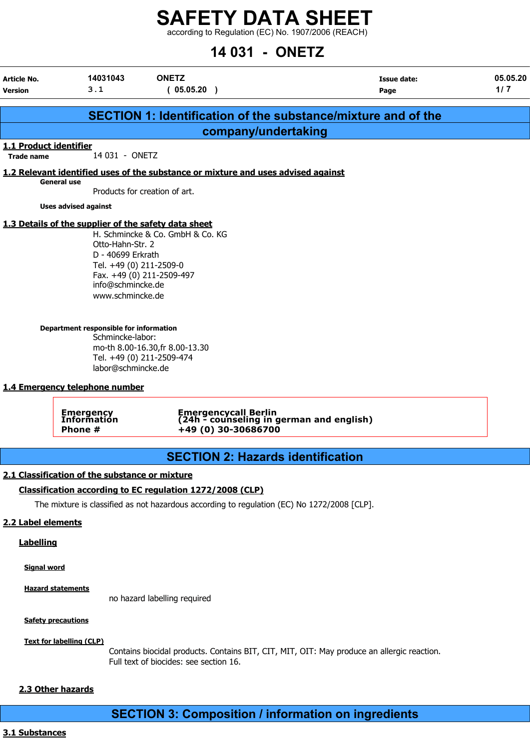according to Regulation (EC) No. 1907/2006 (REACH)

# 14 031 - ONETZ

| Article No.            | 14031043                                                                                                                                                                                      | <b>ONETZ</b>                                                                                                                  | Issue date:                                                          | 05.05.20 |
|------------------------|-----------------------------------------------------------------------------------------------------------------------------------------------------------------------------------------------|-------------------------------------------------------------------------------------------------------------------------------|----------------------------------------------------------------------|----------|
| <b>Version</b>         | 3.1                                                                                                                                                                                           | (05.05.20)                                                                                                                    | Page                                                                 | 1/7      |
|                        |                                                                                                                                                                                               |                                                                                                                               | <b>SECTION 1: Identification of the substance/mixture and of the</b> |          |
|                        |                                                                                                                                                                                               | company/undertaking                                                                                                           |                                                                      |          |
| 1.1 Product identifier |                                                                                                                                                                                               |                                                                                                                               |                                                                      |          |
| <b>Trade name</b>      | 14 031 - ONETZ                                                                                                                                                                                |                                                                                                                               |                                                                      |          |
|                        |                                                                                                                                                                                               | 1.2 Relevant identified uses of the substance or mixture and uses advised against                                             |                                                                      |          |
|                        | <b>General use</b>                                                                                                                                                                            | Products for creation of art.                                                                                                 |                                                                      |          |
|                        | <b>Uses advised against</b>                                                                                                                                                                   |                                                                                                                               |                                                                      |          |
|                        | 1.3 Details of the supplier of the safety data sheet                                                                                                                                          |                                                                                                                               |                                                                      |          |
|                        | Otto-Hahn-Str. 2<br>D - 40699 Erkrath<br>Tel. +49 (0) 211-2509-0<br>info@schmincke.de<br>www.schmincke.de<br>Department responsible for information<br>Schmincke-labor:<br>labor@schmincke.de | H. Schmincke & Co. GmbH & Co. KG<br>Fax. +49 (0) 211-2509-497<br>mo-th 8.00-16.30, fr 8.00-13.30<br>Tel. +49 (0) 211-2509-474 |                                                                      |          |
|                        | 1.4 Emergency telephone number                                                                                                                                                                |                                                                                                                               |                                                                      |          |
|                        | <b>Emergency</b><br>Information<br>Phone #                                                                                                                                                    | Emergencycall Berlin<br>(24h - counseling in german and english)<br>+49 (0) 30-30686700                                       |                                                                      |          |
|                        |                                                                                                                                                                                               | <b>SECTION 2: Hazards identification</b>                                                                                      |                                                                      |          |
|                        | 2.1 Classification of the substance or mixture                                                                                                                                                |                                                                                                                               |                                                                      |          |
|                        |                                                                                                                                                                                               | Classification according to EC regulation 1272/2008 (CLP)                                                                     |                                                                      |          |
|                        |                                                                                                                                                                                               | The mixture is classified as not hazardous according to regulation (EC) No 1272/2008 [CLP].                                   |                                                                      |          |
|                        |                                                                                                                                                                                               |                                                                                                                               |                                                                      |          |
| 2.2 Label elements     |                                                                                                                                                                                               |                                                                                                                               |                                                                      |          |
| <b>Labelling</b>       |                                                                                                                                                                                               |                                                                                                                               |                                                                      |          |
| <b>Signal word</b>     |                                                                                                                                                                                               |                                                                                                                               |                                                                      |          |
|                        | <b>Hazard statements</b>                                                                                                                                                                      |                                                                                                                               |                                                                      |          |

no hazard labelling required

**Safety precautions** 

Text for labelling (CLP)

Contains biocidal products. Contains BIT, CIT, MIT, OIT: May produce an allergic reaction. Full text of biocides: see section 16.

## 2.3 Other hazards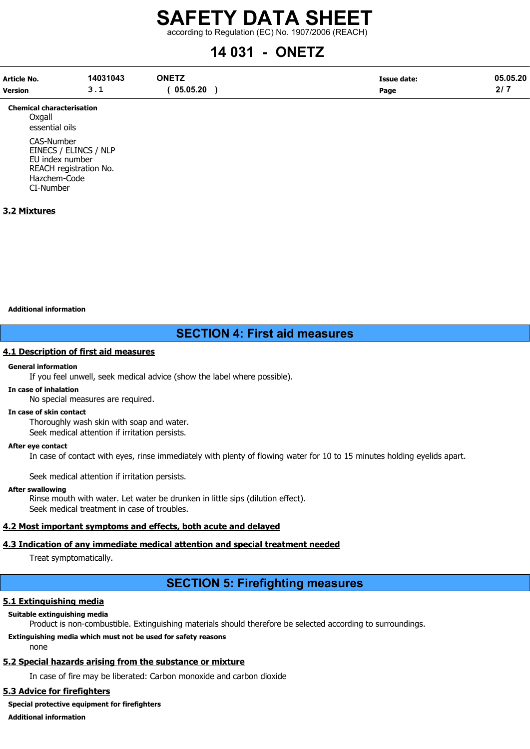according to Regulation (EC) No. 1907/2006 (REACH)

# 14 031 - ONETZ

| Article No.    | 14031043 | <b>ONETZ</b> | <b>Issue date:</b> | 05.05.20  |
|----------------|----------|--------------|--------------------|-----------|
| <b>Version</b> | <u>.</u> | 05.05.20     | Page               | 217<br>41 |

Chemical characterisation **Oxgall** essential oils CAS-Number EINECS / ELINCS / NLP EU index number REACH registration No. Hazchem-Code CI-Number

## 3.2 Mixtures

#### Additional information

# SECTION 4: First aid measures

#### 4.1 Description of first aid measures

#### General information

If you feel unwell, seek medical advice (show the label where possible).

#### In case of inhalation

No special measures are required.

#### In case of skin contact

Thoroughly wash skin with soap and water. Seek medical attention if irritation persists.

After eye contact

In case of contact with eyes, rinse immediately with plenty of flowing water for 10 to 15 minutes holding eyelids apart.

Seek medical attention if irritation persists.

#### After swallowing

Rinse mouth with water. Let water be drunken in little sips (dilution effect). Seek medical treatment in case of troubles.

### 4.2 Most important symptoms and effects, both acute and delayed

### 4.3 Indication of any immediate medical attention and special treatment needed

Treat symptomatically.

# SECTION 5: Firefighting measures

### 5.1 Extinguishing media

#### Suitable extinguishing media

Product is non-combustible. Extinguishing materials should therefore be selected according to surroundings.

#### Extinguishing media which must not be used for safety reasons none

# 5.2 Special hazards arising from the substance or mixture

In case of fire may be liberated: Carbon monoxide and carbon dioxide

# 5.3 Advice for firefighters

Special protective equipment for firefighters

Additional information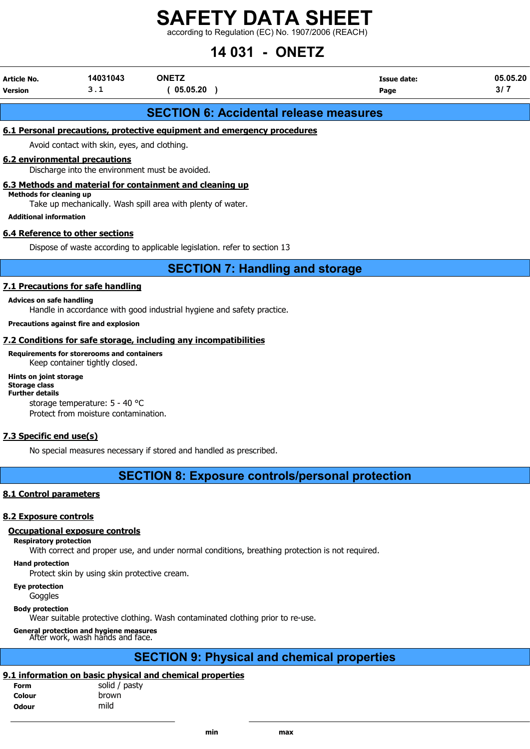according to Regulation (EC) No. 1907/2006 (REACH)

# 14 031 - ONETZ

| Article No. | 14031043 | <b>ONETZ</b> | <b>Issue date:</b> | 05.05.20 |
|-------------|----------|--------------|--------------------|----------|
| Version     | <u>.</u> | 05.05.20     | Page               | νı       |
|             |          |              |                    |          |

# SECTION 6: Accidental release measures

# 6.1 Personal precautions, protective equipment and emergency procedures

Avoid contact with skin, eyes, and clothing.

### 6.2 environmental precautions

Discharge into the environment must be avoided.

## 6.3 Methods and material for containment and cleaning up

Methods for cleaning up

Take up mechanically. Wash spill area with plenty of water.

Additional information

## 6.4 Reference to other sections

Dispose of waste according to applicable legislation. refer to section 13

SECTION 7: Handling and storage

## 7.1 Precautions for safe handling

#### Advices on safe handling

Handle in accordance with good industrial hygiene and safety practice.

#### Precautions against fire and explosion

# 7.2 Conditions for safe storage, including any incompatibilities

#### Requirements for storerooms and containers

Keep container tightly closed.

#### Hints on joint storage

Storage class Further details

storage temperature: 5 - 40 °C Protect from moisture contamination.

# 7.3 Specific end use(s)

No special measures necessary if stored and handled as prescribed.

# SECTION 8: Exposure controls/personal protection

# 8.1 Control parameters

# 8.2 Exposure controls

# Occupational exposure controls

# Respiratory protection

With correct and proper use, and under normal conditions, breathing protection is not required.

Hand protection

Protect skin by using skin protective cream.

Eye protection

Goggles

# Body protection

Wear suitable protective clothing. Wash contaminated clothing prior to re-use.

# General protection and hygiene measures

After work, wash hands and face.

# SECTION 9: Physical and chemical properties

# 9.1 information on basic physical and chemical properties

| solid / pasty |
|---------------|
| brown         |
| mild          |
|               |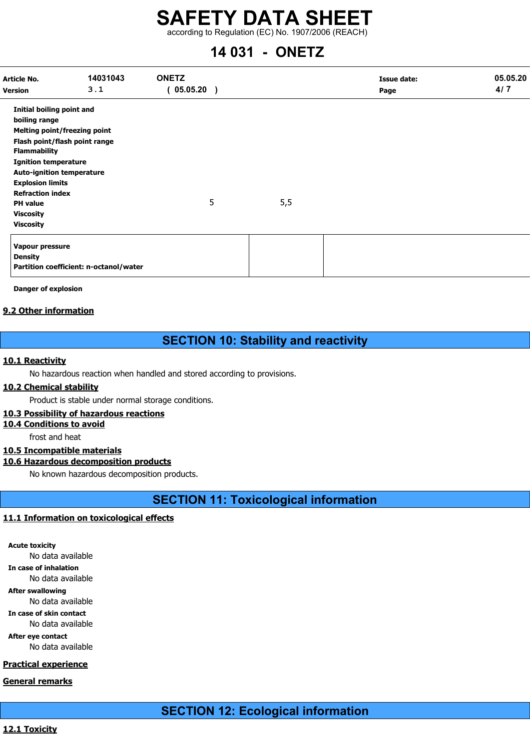according to Regulation (EC) No. 1907/2006 (REACH)

# 14 031 - ONETZ

| Article No.<br><b>Version</b>                                                                                                                                                                                                                                                                                                 | 14031043<br>3.1                        | <b>ONETZ</b><br>(05.05.20) |   |     | <b>Issue date:</b><br>Page | 05.05.20<br>4/7 |
|-------------------------------------------------------------------------------------------------------------------------------------------------------------------------------------------------------------------------------------------------------------------------------------------------------------------------------|----------------------------------------|----------------------------|---|-----|----------------------------|-----------------|
| <b>Initial boiling point and</b><br>boiling range<br>Melting point/freezing point<br>Flash point/flash point range<br><b>Flammability</b><br><b>Ignition temperature</b><br><b>Auto-ignition temperature</b><br><b>Explosion limits</b><br><b>Refraction index</b><br><b>PH</b> value<br><b>Viscosity</b><br><b>Viscosity</b> |                                        |                            | 5 | 5,5 |                            |                 |
| Vapour pressure<br><b>Density</b>                                                                                                                                                                                                                                                                                             | Partition coefficient: n-octanol/water |                            |   |     |                            |                 |

Danger of explosion

# 9.2 Other information

# SECTION 10: Stability and reactivity

# 10.1 Reactivity

No hazardous reaction when handled and stored according to provisions.

### 10.2 Chemical stability

Product is stable under normal storage conditions.

## 10.3 Possibility of hazardous reactions

# 10.4 Conditions to avoid

frost and heat

# 10.5 Incompatible materials

# 10.6 Hazardous decomposition products

No known hazardous decomposition products.

SECTION 11: Toxicological information

# 11.1 Information on toxicological effects

Acute toxicity No data available In case of inhalation No data available After swallowing No data available In case of skin contact No data available

After eye contact No data available

# Practical experience

General remarks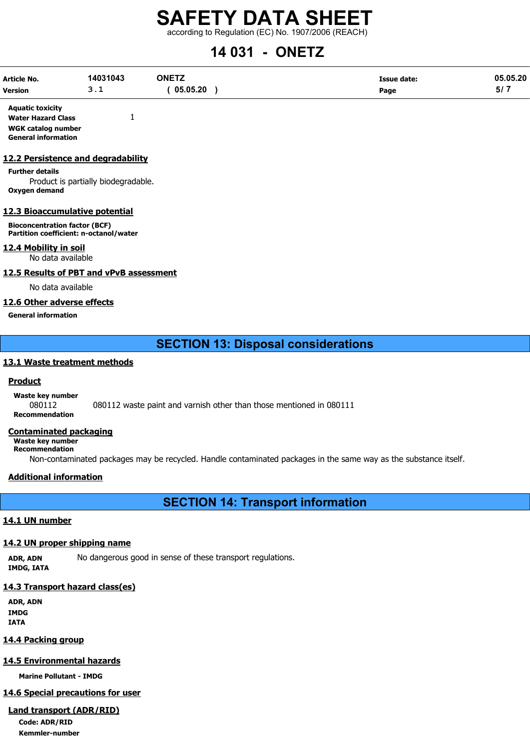according to Regulation (EC) No. 1907/2006 (REACH)

# 14 031 - ONETZ

| Article No.    | 14031043 | <b>ONETZ</b> | Issue date: | 05.05.20 |
|----------------|----------|--------------|-------------|----------|
| <b>Version</b> | <u>.</u> | 05.05.20     | Page        | י וכ     |

Aquatic toxicity Water Hazard Class 1 WGK catalog number General information

### 12.2 Persistence and degradability

Further details Product is partially biodegradable. Oxygen demand

### 12.3 Bioaccumulative potential

Bioconcentration factor (BCF) Partition coefficient: n-octanol/water

12.4 Mobility in soil No data available

12.5 Results of PBT and vPvB assessment

No data available

### 12.6 Other adverse effects

General information

# SECTION 13: Disposal considerations

## 13.1 Waste treatment methods

### **Product**

Waste key number 080112 080112 waste paint and varnish other than those mentioned in 080111 Recommendation

### Contaminated packaging

Waste key number Recommendation

Non-contaminated packages may be recycled. Handle contaminated packages in the same way as the substance itself.

# Additional information

SECTION 14: Transport information

# 14.1 UN number

### 14.2 UN proper shipping name

ADR, ADN No dangerous good in sense of these transport regulations. IMDG, IATA

### 14.3 Transport hazard class(es)

ADR, ADN IMDG IATA

### 14.4 Packing group

# 14.5 Environmental hazards

Marine Pollutant - IMDG

### 14.6 Special precautions for user

# Land transport (ADR/RID)

Code: ADR/RID Kemmler-number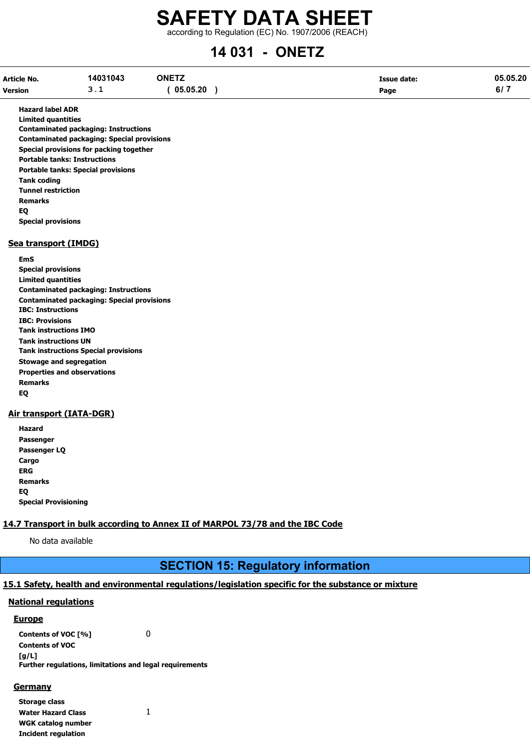# SAFETY DATA SHEET according to Regulation (EC) No. 1907/2006 (REACH)

# 14 031 - ONETZ

| Article No.    | 14031043      | <b>ONETZ</b> | Issue date: | 05.05.20 |
|----------------|---------------|--------------|-------------|----------|
| <b>Version</b> | <u>- - - </u> | 05.05.20     | Page        | י וס     |

Hazard label ADR

Limited quantities Contaminated packaging: Instructions Contaminated packaging: Special provisions Special provisions for packing together Portable tanks: Instructions Portable tanks: Special provisions Tank coding Tunnel restriction Remarks EQ Special provisions

#### Sea transport (IMDG)

EmS Special provisions Limited quantities Contaminated packaging: Instructions Contaminated packaging: Special provisions IBC: Instructions IBC: Provisions Tank instructions IMO Tank instructions UN Tank instructions Special provisions Stowage and segregation Properties and observations Remarks EQ

### Air transport (IATA-DGR)

| Hazard                      |
|-----------------------------|
| Passenger                   |
| Passenger LQ                |
| Cargo                       |
| ERG                         |
| <b>Remarks</b>              |
| EQ                          |
| <b>Special Provisioning</b> |

# 14.7 Transport in bulk according to Annex II of MARPOL 73/78 and the IBC Code

No data available

# SECTION 15: Regulatory information

# 15.1 Safety, health and environmental regulations/legislation specific for the substance or mixture

### National regulations

#### Europe

Contents of VOC [%] 0 Contents of VOC [g/L] Further regulations, limitations and legal requirements

#### Germany

| Storage class              |   |
|----------------------------|---|
| <b>Water Hazard Class</b>  | 1 |
| <b>WGK catalog number</b>  |   |
| <b>Incident regulation</b> |   |